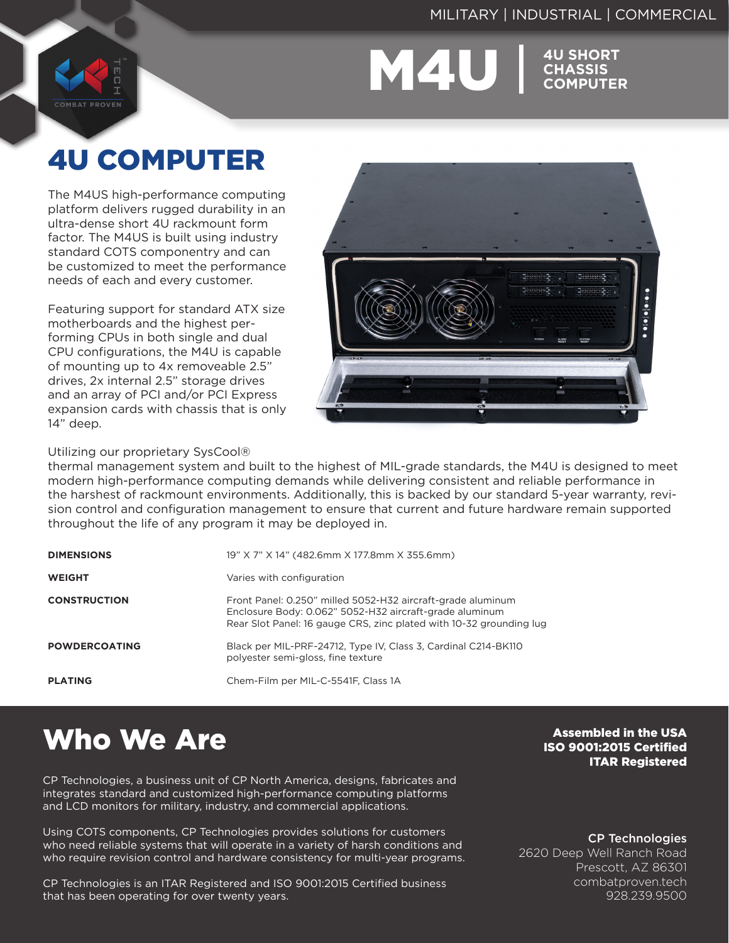#### MILITARY | INDUSTRIAL | COMMERCIAL

M4U **4U SHORT** 

**CHASSIS COMPUTER**

# 4U COMPUTER

**COMBAT PROVEN** 

The M4US high-performance computing platform delivers rugged durability in an ultra-dense short 4U rackmount form factor. The M4US is built using industry standard COTS componentry and can be customized to meet the performance needs of each and every customer.

Featuring support for standard ATX size motherboards and the highest performing CPUs in both single and dual CPU configurations, the M4U is capable of mounting up to 4x removeable 2.5" drives, 2x internal 2.5" storage drives and an array of PCI and/or PCI Express expansion cards with chassis that is only 14" deep.



Utilizing our proprietary SysCool®

thermal management system and built to the highest of MIL-grade standards, the M4U is designed to meet modern high-performance computing demands while delivering consistent and reliable performance in the harshest of rackmount environments. Additionally, this is backed by our standard 5-year warranty, revision control and configuration management to ensure that current and future hardware remain supported throughout the life of any program it may be deployed in.

| <b>DIMENSIONS</b>    | 19" X 7" X 14" (482.6mm X 177.8mm X 355.6mm)                                                                                                                                                  |
|----------------------|-----------------------------------------------------------------------------------------------------------------------------------------------------------------------------------------------|
| <b>WEIGHT</b>        | Varies with configuration                                                                                                                                                                     |
| <b>CONSTRUCTION</b>  | Front Panel: 0.250" milled 5052-H32 aircraft-grade aluminum<br>Enclosure Body: 0.062" 5052-H32 aircraft-grade aluminum<br>Rear Slot Panel: 16 gauge CRS, zinc plated with 10-32 grounding lug |
| <b>POWDERCOATING</b> | Black per MIL-PRF-24712, Type IV, Class 3, Cardinal C214-BK110<br>polyester semi-gloss, fine texture                                                                                          |
| <b>PLATING</b>       | Chem-Film per MIL-C-5541F, Class 1A                                                                                                                                                           |

# Who We Are

CP Technologies, a business unit of CP North America, designs, fabricates and integrates standard and customized high-performance computing platforms and LCD monitors for military, industry, and commercial applications.

Using COTS components, CP Technologies provides solutions for customers who need reliable systems that will operate in a variety of harsh conditions and who require revision control and hardware consistency for multi-year programs.

CP Technologies is an ITAR Registered and ISO 9001:2015 Certified business that has been operating for over twenty years.

Assembled in the USA ISO 9001:2015 Certified ITAR Registered

CP Technologies

2620 Deep Well Ranch Road Prescott, AZ 86301 combatproven.tech 928.239.9500